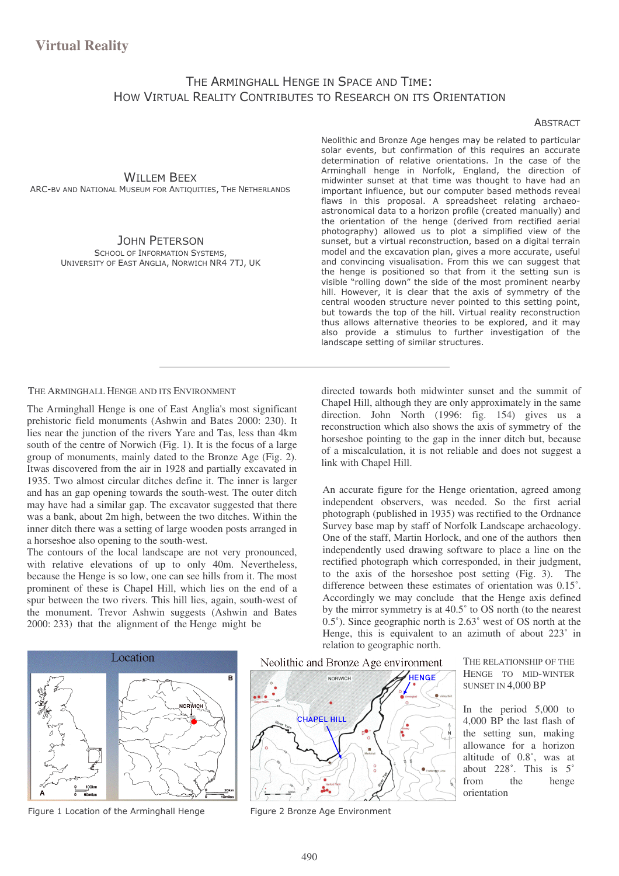## THE ARMINGHALL HENGE IN SPACE AND TIME: HOW VIRTUAL REALITY CONTRIBUTES TO RESEARCH ON ITS ORIENTATION

### **ABSTRACT**

## **WILLEM BEEX**

ARC-BV AND NATIONAL MUSEUM FOR ANTIQUITIES, THE NETHERLANDS

### **JOHN PETERSON**

**SCHOOL OF INFORMATION SYSTEMS,** UNIVERSITY OF EAST ANGLIA, NORWICH NR4 7TJ, UK Neolithic and Bronze Age henges may be related to particular solar events, but confirmation of this requires an accurate determination of relative orientations. In the case of the Arminghall henge in Norfolk, England, the direction of midwinter sunset at that time was thought to have had an important influence, but our computer based methods reveal flaws in this proposal. A spreadsheet relating archaeoastronomical data to a horizon profile (created manually) and the orientation of the henge (derived from rectified aerial photography) allowed us to plot a simplified view of the sunset, but a virtual reconstruction, based on a digital terrain model and the excavation plan, gives a more accurate, useful and convincing visualisation. From this we can suggest that the henge is positioned so that from it the setting sun is visible "rolling down" the side of the most prominent nearby hill. However, it is clear that the axis of symmetry of the central wooden structure never pointed to this setting point, but towards the top of the hill. Virtual reality reconstruction thus allows alternative theories to be explored, and it may also provide a stimulus to further investigation of the landscape setting of similar structures.

THE ARMINGHALL HENGE AND ITS ENVIRONMENT

The Arminghall Henge is one of East Anglia's most significant prehistoric field monuments (Ashwin and Bates 2000: 230). It lies near the junction of the rivers Yare and Tas, less than 4km south of the centre of Norwich (Fig. 1). It is the focus of a large group of monuments, mainly dated to the Bronze Age (Fig. 2). Itwas discovered from the air in 1928 and partially excavated in 1935. Two almost circular ditches define it. The inner is larger and has an gap opening towards the south-west. The outer ditch may have had a similar gap. The excavator suggested that there was a bank, about 2m high, between the two ditches. Within the inner ditch there was a setting of large wooden posts arranged in a horseshoe also opening to the south-west.

The contours of the local landscape are not very pronounced, with relative elevations of up to only 40m. Nevertheless, because the Henge is so low, one can see hills from it. The most prominent of these is Chapel Hill, which lies on the end of a spur between the two rivers. This hill lies, again, south-west of the monument. Trevor Ashwin suggests (Ashwin and Bates 2000: 233) that the alignment of the Henge might be

directed towards both midwinter sunset and the summit of Chapel Hill, although they are only approximately in the same direction. John North (1996: fig. 154) gives us a reconstruction which also shows the axis of symmetry of the horseshoe pointing to the gap in the inner ditch but, because of a miscalculation, it is not reliable and does not suggest a link with Chapel Hill.

An accurate figure for the Henge orientation, agreed among independent observers, was needed. So the first aerial photograph (published in 1935) was rectified to the Ordnance Survey base map by staff of Norfolk Landscape archaeology. One of the staff, Martin Horlock, and one of the authors then independently used drawing software to place a line on the rectified photograph which corresponded, in their judgment, to the axis of the horseshoe post setting (Fig. 3). The difference between these estimates of orientation was 0.15°. Accordingly we may conclude that the Henge axis defined by the mirror symmetry is at  $40.5^{\circ}$  to OS north (to the nearest  $0.5^{\circ}$ ). Since geographic north is  $2.63^{\circ}$  west of OS north at the Henge, this is equivalent to an azimuth of about 223° in relation to geographic north.



Figure 1 Location of the Arminghall Henge

Neolithic and Bronze Age environment



Figure 2 Bronze Age Environment

THE RELATIONSHIP OF THE HENGE TO MID-WINTER SUNSET IN 4,000 BP

In the period  $5,000$  to 4,000 BP the last flash of the setting sun, making allowance for a horizon altitude of 0.8°, was at about 228°. This is 5° from the henge orientation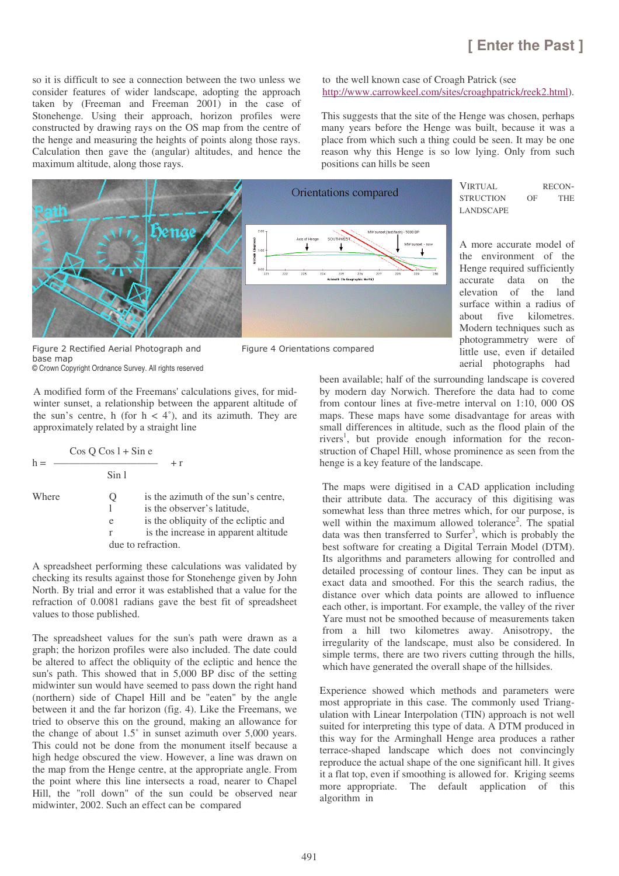so it is difficult to see a connection between the two unless we consider features of wider landscape, adopting the approach taken by (Freeman and Freeman 2001) in the case of Stonehenge. Using their approach, horizon profiles were constructed by drawing rays on the OS map from the centre of the henge and measuring the heights of points along those rays. Calculation then gave the (angular) altitudes, and hence the maximum altitude, along those rays.

to the well known case of Croagh Patrick (see http://www.carrowkeel.com/sites/croaghpatrick/reek2.html).

This suggests that the site of the Henge was chosen, perhaps many years before the Henge was built, because it was a place from which such a thing could be seen. It may be one reason why this Henge is so low lying. Only from such positions can hills be seen



Figure 2 Rectified Aerial Photograph and Figure 4 Orientations compared base map

© Crown Copyright Ordnance Survey. All rights reserved

A modified form of the Freemans' calculations gives, for midwinter sunset, a relationship between the apparent altitude of the sun's centre, h (for  $h < 4^{\circ}$ ), and its azimuth. They are approximately related by a straight line

| $h =$ | $\cos O \cos 1 + \sin e$          | $+r$                                                                                                                                               |
|-------|-----------------------------------|----------------------------------------------------------------------------------------------------------------------------------------------------|
|       | Sin 1                             |                                                                                                                                                    |
| Where | Ő<br>e<br>r<br>due to refraction. | is the azimuth of the sun's centre,<br>is the observer's latitude,<br>is the obliquity of the ecliptic and<br>is the increase in apparent altitude |

A spreadsheet performing these calculations was validated by checking its results against those for Stonehenge given by John North. By trial and error it was established that a value for the refraction of 0.0081 radians gave the best fit of spreadsheet values to those published.

The spreadsheet values for the sun's path were drawn as a graph; the horizon profiles were also included. The date could be altered to affect the obliquity of the ecliptic and hence the sun's path. This showed that in 5,000 BP disc of the setting midwinter sun would have seemed to pass down the right hand (northern) side of Chapel Hill and be "eaten" by the angle between it and the far horizon (fig. 4). Like the Freemans, we tried to observe this on the ground, making an allowance for the change of about 1.5˚ in sunset azimuth over 5,000 years. This could not be done from the monument itself because a high hedge obscured the view. However, a line was drawn on the map from the Henge centre, at the appropriate angle. From the point where this line intersects a road, nearer to Chapel Hill, the "roll down" of the sun could be observed near midwinter, 2002. Such an effect can be compared

A more accurate model of the environment of the Henge required sufficiently accurate data on the elevation of the land surface within a radius of about five kilometres. Modern techniques such as photogrammetry were of little use, even if detailed aerial photographs had

been available; half of the surrounding landscape is covered by modern day Norwich. Therefore the data had to come from contour lines at five-metre interval on 1:10, 000 OS maps. These maps have some disadvantage for areas with small differences in altitude, such as the flood plain of the rivers 1 , but provide enough information for the reconstruction of Chapel Hill, whose prominence as seen from the henge is a key feature of the landscape.

The maps were digitised in a CAD application including their attribute data. The accuracy of this digitising was somewhat less than three metres which, for our purpose, is well within the maximum allowed tolerance<sup>2</sup>. The spatial data was then transferred to Surfer<sup>3</sup>, which is probably the best software for creating a Digital Terrain Model (DTM). Its algorithms and parameters allowing for controlled and detailed processing of contour lines. They can be input as exact data and smoothed. For this the search radius, the distance over which data points are allowed to influence each other, is important. For example, the valley of the river Yare must not be smoothed because of measurements taken from a hill two kilometres away. Anisotropy, the irregularity of the landscape, must also be considered. In simple terms, there are two rivers cutting through the hills, which have generated the overall shape of the hillsides.

Experience showed which methods and parameters were most appropriate in this case. The commonly used Triangulation with Linear Interpolation (TIN) approach is not well suited for interpreting this type of data. A DTM produced in this way for the Arminghall Henge area produces a rather terrace-shaped landscape which does not convincingly reproduce the actual shape of the one significant hill. It gives it a flat top, even if smoothing is allowed for. Kriging seems more appropriate. The default application of this algorithm in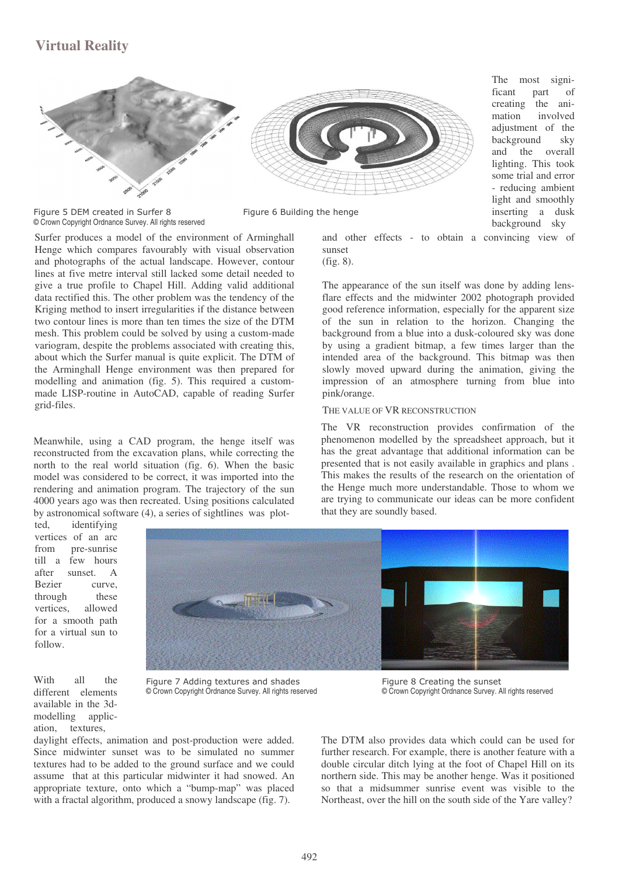# **Virtual Reality**



The most significant part of creating the animation involved adjustment of the background sky and the overall lighting. This took some trial and error - reducing ambient light and smoothly inserting a dusk

Figure 5 DEM created in Surfer 8 Transford and the head and the head and the head at  $\frac{1}{2}$  Figure 6 Building the head © Crown Copyright Ordnance Survey. All rights reserved

Surfer produces a model of the environment of Arminghall Henge which compares favourably with visual observation and photographs of the actual landscape. However, contour lines at five metre interval still lacked some detail needed to give a true profile to Chapel Hill. Adding valid additional data rectified this. The other problem was the tendency of the Kriging method to insert irregularities if the distance between two contour lines is more than ten times the size of the DTM mesh. This problem could be solved by using a custom-made variogram, despite the problems associated with creating this, about which the Surfer manual is quite explicit. The DTM of the Arminghall Henge environment was then prepared for modelling and animation (fig. 5). This required a custommade LISP-routine in AutoCAD, capable of reading Surfer grid-files.

Meanwhile, using a CAD program, the henge itself was reconstructed from the excavation plans, while correcting the north to the real world situation (fig. 6). When the basic model was considered to be correct, it was imported into the rendering and animation program. The trajectory of the sun 4000 years ago was then recreated. Using positions calculated by astronomical software (4), a series of sightlines was plot-

ted, identifying vertices of an arc from pre-sunrise till a few hours after sunset. A Bezier curve, through these vertices, allowed for a smooth path for a virtual sun to follow.



With all the different elements available in the 3dmodelling application, textures,

Figure 7 Adding textures and shades Figure 8 Creating the sunset © Crown Copyright Ordnance Survey. All rights reserved © Crown Copyright Ordnance Survey. All rights reserved

daylight effects, animation and post-production were added. Since midwinter sunset was to be simulated no summer textures had to be added to the ground surface and we could assume that at this particular midwinter it had snowed. An appropriate texture, onto which a "bump-map" was placed with a fractal algorithm, produced a snowy landscape (fig. 7).

The DTM also provides data which could can be used for further research. For example, there is another feature with a double circular ditch lying at the foot of Chapel Hill on its northern side. This may be another henge. Was it positioned so that a midsummer sunrise event was visible to the Northeast, over the hill on the south side of the Yare valley?

background sky and other effects - to obtain a convincing view of sunset

(fig. 8).

The appearance of the sun itself was done by adding lensflare effects and the midwinter 2002 photograph provided good reference information, especially for the apparent size of the sun in relation to the horizon. Changing the background from a blue into a dusk-coloured sky was done by using a gradient bitmap, a few times larger than the intended area of the background. This bitmap was then slowly moved upward during the animation, giving the impression of an atmosphere turning from blue into pink/orange.

### THE VALUE OF VR RECONSTRUCTION

The VR reconstruction provides confirmation of the phenomenon modelled by the spreadsheet approach, but it has the great advantage that additional information can be presented that is not easily available in graphics and plans . This makes the results of the research on the orientation of the Henge much more understandable. Those to whom we are trying to communicate our ideas can be more confident that they are soundly based.